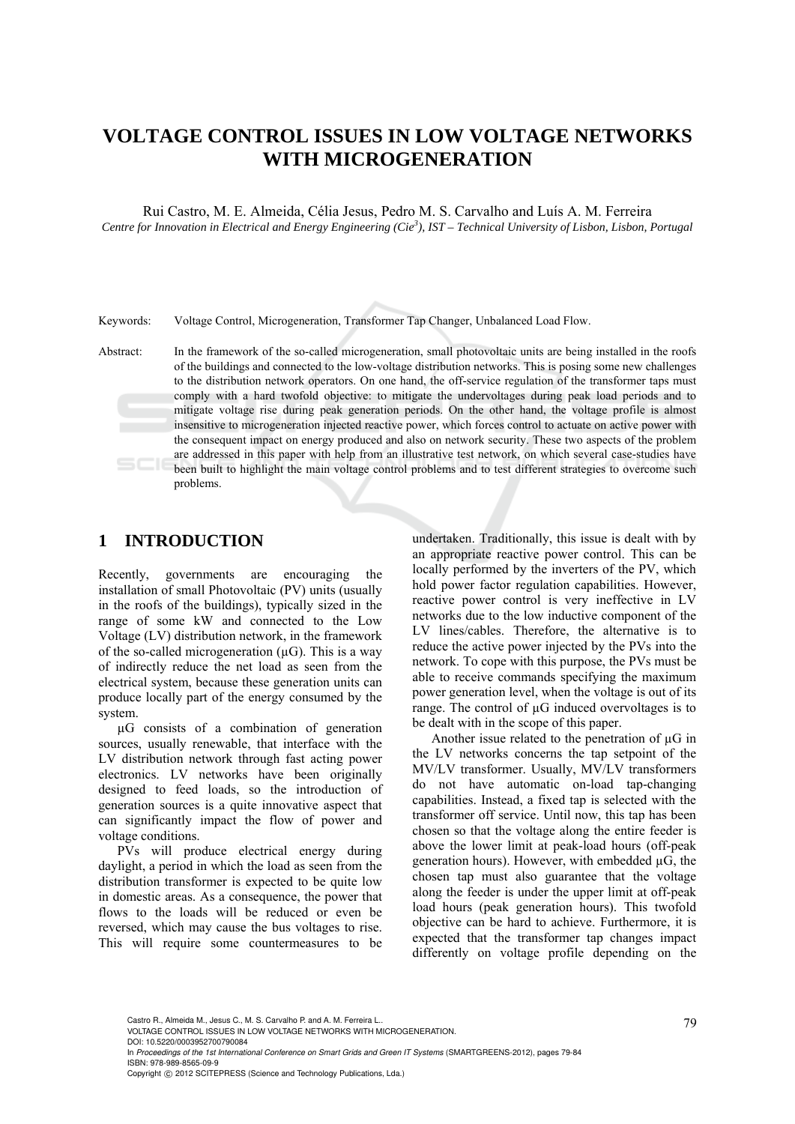# **VOLTAGE CONTROL ISSUES IN LOW VOLTAGE NETWORKS WITH MICROGENERATION**

Rui Castro, M. E. Almeida, Célia Jesus, Pedro M. S. Carvalho and Luís A. M. Ferreira *Centre for Innovation in Electrical and Energy Engineering (Cie<sup>3</sup> ), IST – Technical University of Lisbon, Lisbon, Portugal* 

Keywords: Voltage Control, Microgeneration, Transformer Tap Changer, Unbalanced Load Flow.

Abstract: In the framework of the so-called microgeneration, small photovoltaic units are being installed in the roofs of the buildings and connected to the low-voltage distribution networks. This is posing some new challenges to the distribution network operators. On one hand, the off-service regulation of the transformer taps must comply with a hard twofold objective: to mitigate the undervoltages during peak load periods and to mitigate voltage rise during peak generation periods. On the other hand, the voltage profile is almost insensitive to microgeneration injected reactive power, which forces control to actuate on active power with the consequent impact on energy produced and also on network security. These two aspects of the problem are addressed in this paper with help from an illustrative test network, on which several case-studies have been built to highlight the main voltage control problems and to test different strategies to overcome such problems.

## **1 INTRODUCTION**

Recently, governments are encouraging the installation of small Photovoltaic (PV) units (usually in the roofs of the buildings), typically sized in the range of some kW and connected to the Low Voltage (LV) distribution network, in the framework of the so-called microgeneration  $(uG)$ . This is a way of indirectly reduce the net load as seen from the electrical system, because these generation units can produce locally part of the energy consumed by the system.

µG consists of a combination of generation sources, usually renewable, that interface with the LV distribution network through fast acting power electronics. LV networks have been originally designed to feed loads, so the introduction of generation sources is a quite innovative aspect that can significantly impact the flow of power and voltage conditions.

PVs will produce electrical energy during daylight, a period in which the load as seen from the distribution transformer is expected to be quite low in domestic areas. As a consequence, the power that flows to the loads will be reduced or even be reversed, which may cause the bus voltages to rise. This will require some countermeasures to be

undertaken. Traditionally, this issue is dealt with by an appropriate reactive power control. This can be locally performed by the inverters of the PV, which hold power factor regulation capabilities. However, reactive power control is very ineffective in LV networks due to the low inductive component of the LV lines/cables. Therefore, the alternative is to reduce the active power injected by the PVs into the network. To cope with this purpose, the PVs must be able to receive commands specifying the maximum power generation level, when the voltage is out of its range. The control of µG induced overvoltages is to be dealt with in the scope of this paper.

Another issue related to the penetration of µG in the LV networks concerns the tap setpoint of the MV/LV transformer. Usually, MV/LV transformers do not have automatic on-load tap-changing capabilities. Instead, a fixed tap is selected with the transformer off service. Until now, this tap has been chosen so that the voltage along the entire feeder is above the lower limit at peak-load hours (off-peak generation hours). However, with embedded  $\mu$ G, the chosen tap must also guarantee that the voltage along the feeder is under the upper limit at off-peak load hours (peak generation hours). This twofold objective can be hard to achieve. Furthermore, it is expected that the transformer tap changes impact differently on voltage profile depending on the

DOI: 10.5220/0003952700790084

In *Proceedings of the 1st International Conference on Smart Grids and Green IT Systems* (SMARTGREENS-2012), pages 79-84 ISBN: 978-989-8565-09-9

<sup>79</sup> Castro R., Almeida M., Jesus C., M. S. Carvalho P. and A. M. Ferreira L.. VOLTAGE CONTROL ISSUES IN LOW VOLTAGE NETWORKS WITH MICROGENERATION.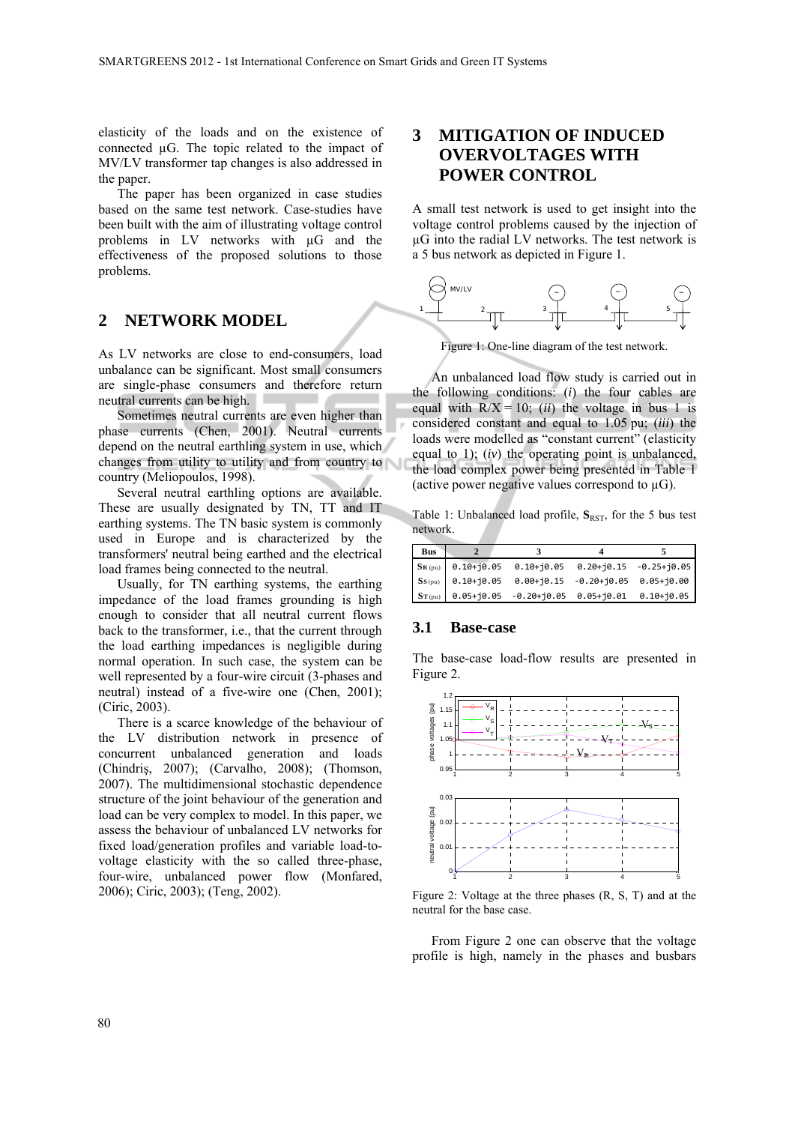elasticity of the loads and on the existence of connected µG. The topic related to the impact of MV/LV transformer tap changes is also addressed in the paper.

The paper has been organized in case studies based on the same test network. Case-studies have been built with the aim of illustrating voltage control problems in LV networks with µG and the effectiveness of the proposed solutions to those problems.

## **2 NETWORK MODEL**

As LV networks are close to end-consumers, load unbalance can be significant. Most small consumers are single-phase consumers and therefore return neutral currents can be high.

Sometimes neutral currents are even higher than phase currents (Chen, 2001). Neutral currents depend on the neutral earthling system in use, which changes from utility to utility and from country to country (Meliopoulos, 1998).

Several neutral earthling options are available. These are usually designated by TN, TT and IT earthing systems. The TN basic system is commonly used in Europe and is characterized by the transformers' neutral being earthed and the electrical load frames being connected to the neutral.

Usually, for TN earthing systems, the earthing impedance of the load frames grounding is high enough to consider that all neutral current flows back to the transformer, i.e., that the current through the load earthing impedances is negligible during normal operation. In such case, the system can be well represented by a four-wire circuit (3-phases and neutral) instead of a five-wire one (Chen, 2001); (Ciric, 2003).

There is a scarce knowledge of the behaviour of the LV distribution network in presence of concurrent unbalanced generation and loads (Chindriş, 2007); (Carvalho, 2008); (Thomson, 2007). The multidimensional stochastic dependence structure of the joint behaviour of the generation and load can be very complex to model. In this paper, we assess the behaviour of unbalanced LV networks for fixed load/generation profiles and variable load-tovoltage elasticity with the so called three-phase, four-wire, unbalanced power flow (Monfared, 2006); Ciric, 2003); (Teng, 2002).

## **3 MITIGATION OF INDUCED OVERVOLTAGES WITH POWER CONTROL**

A small test network is used to get insight into the voltage control problems caused by the injection of µG into the radial LV networks. The test network is a 5 bus network as depicted in Figure 1.



Figure 1: One-line diagram of the test network.

An unbalanced load flow study is carried out in the following conditions: (*i*) the four cables are equal with  $R/X = 10$ ; *(ii)* the voltage in bus 1 is considered constant and equal to 1.05 pu; (*iii*) the loads were modelled as "constant current" (elasticity equal to 1); (*iv*) the operating point is unbalanced, the load complex power being presented in Table 1 (active power negative values correspond to  $\mu$ G).

Table 1: Unbalanced load profile,  $S_{RST}$ , for the 5 bus test network.

| Bus |                                                                         |  |
|-----|-------------------------------------------------------------------------|--|
|     | $\left  S_{R(pu)} \right $ 0.10+j0.05 0.10+j0.05 0.20+j0.15 -0.25+j0.05 |  |
|     | $S_{S(pu)}$ 0.10+j0.05 0.00+j0.15 -0.20+j0.05 0.05+j0.00                |  |
|     | $S_{T(pu)}$ 0.05+j0.05 -0.20+j0.05 0.05+j0.01 0.10+j0.05                |  |

#### **3.1 Base-case**

The base-case load-flow results are presented in Figure 2.



Figure 2: Voltage at the three phases (R, S, T) and at the neutral for the base case.

From Figure 2 one can observe that the voltage profile is high, namely in the phases and busbars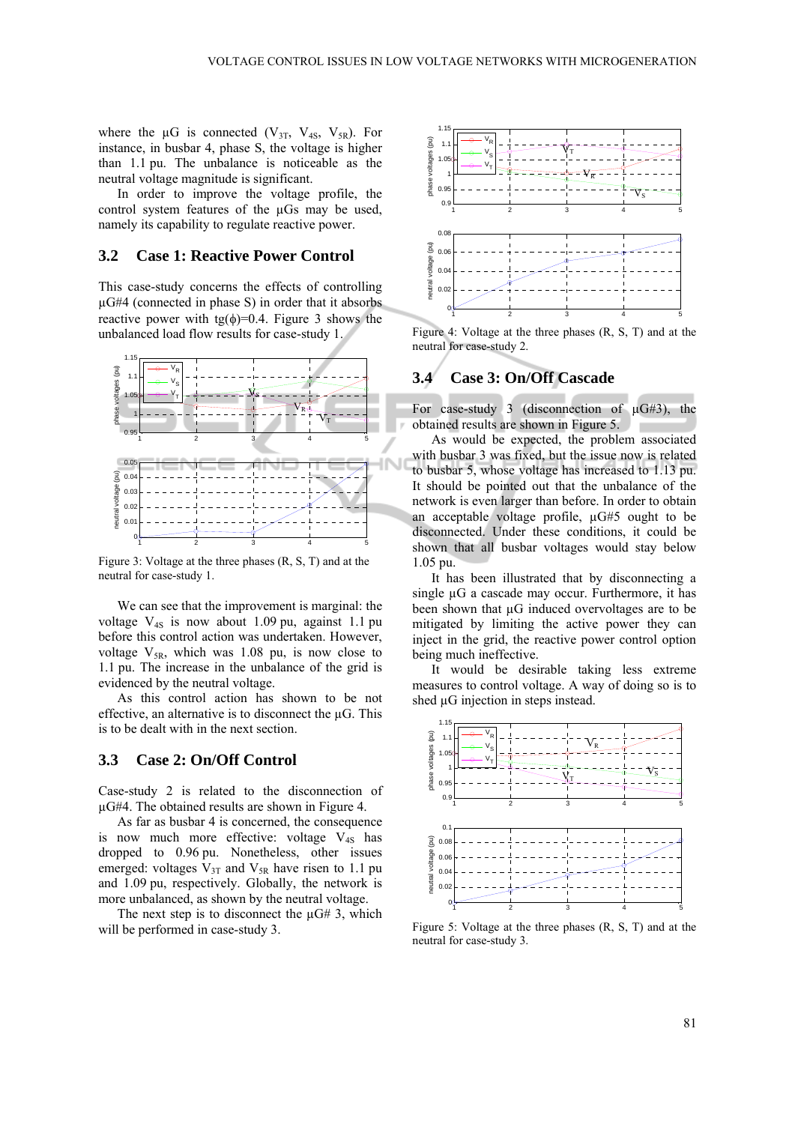where the  $\mu$ G is connected (V<sub>3T</sub>, V<sub>4S</sub>, V<sub>5R</sub>). For instance, in busbar 4, phase S, the voltage is higher than 1.1 pu. The unbalance is noticeable as the neutral voltage magnitude is significant.

In order to improve the voltage profile, the control system features of the µGs may be used, namely its capability to regulate reactive power.

### **3.2 Case 1: Reactive Power Control**

This case-study concerns the effects of controlling µG#4 (connected in phase S) in order that it absorbs reactive power with tg( $\phi$ )=0.4. Figure 3 shows the unbalanced load flow results for case-study 1.



Figure 3: Voltage at the three phases (R, S, T) and at the neutral for case-study 1.

We can see that the improvement is marginal: the voltage  $V_{4S}$  is now about 1.09 pu, against 1.1 pu before this control action was undertaken. However, voltage  $V_{5R}$ , which was 1.08 pu, is now close to 1.1 pu. The increase in the unbalance of the grid is evidenced by the neutral voltage.

As this control action has shown to be not effective, an alternative is to disconnect the µG. This is to be dealt with in the next section.

#### **3.3 Case 2: On/Off Control**

Case-study 2 is related to the disconnection of µG#4. The obtained results are shown in Figure 4.

As far as busbar 4 is concerned, the consequence is now much more effective: voltage  $V_{4S}$  has dropped to 0.96 pu. Nonetheless, other issues emerged: voltages  $V_{3T}$  and  $V_{5R}$  have risen to 1.1 pu and 1.09 pu, respectively. Globally, the network is more unbalanced, as shown by the neutral voltage.

The next step is to disconnect the  $\mu$ G# 3, which will be performed in case-study 3.



Figure 4: Voltage at the three phases (R, S, T) and at the neutral for case-study 2.

#### **3.4 Case 3: On/Off Cascade**

For case-study 3 (disconnection of  $\mu$ G#3), the obtained results are shown in Figure 5.

As would be expected, the problem associated with busbar 3 was fixed, but the issue now is related to busbar 5, whose voltage has increased to 1.13 pu. It should be pointed out that the unbalance of the network is even larger than before. In order to obtain an acceptable voltage profile, µG#5 ought to be disconnected. Under these conditions, it could be shown that all busbar voltages would stay below 1.05 pu.

It has been illustrated that by disconnecting a single  $\mu$ G a cascade may occur. Furthermore, it has been shown that µG induced overvoltages are to be mitigated by limiting the active power they can inject in the grid, the reactive power control option being much ineffective.

It would be desirable taking less extreme measures to control voltage. A way of doing so is to shed  $\mu$ G injection in steps instead.



Figure 5: Voltage at the three phases (R, S, T) and at the neutral for case-study 3.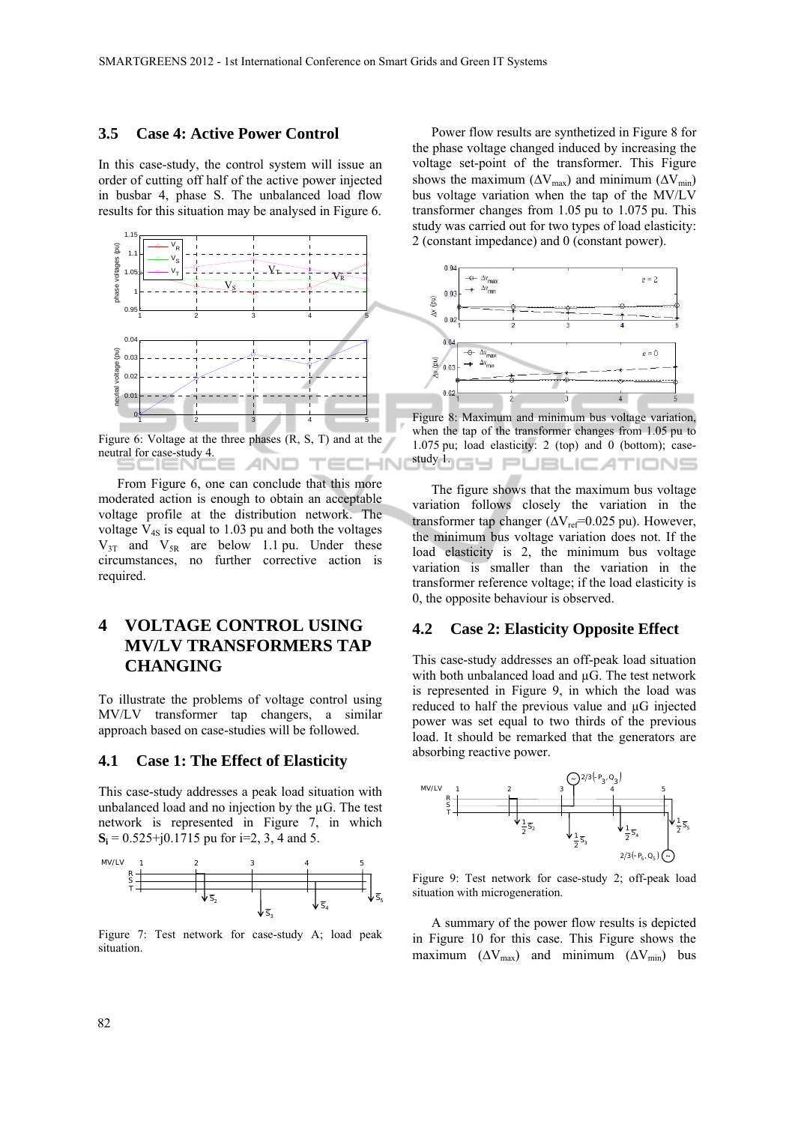#### **3.5 Case 4: Active Power Control**

In this case-study, the control system will issue an order of cutting off half of the active power injected in busbar 4, phase S. The unbalanced load flow results for this situation may be analysed in Figure 6.



Figure 6: Voltage at the three phases (R, S, T) and at the neutral for case-study 4. 10

From Figure 6, one can conclude that this more moderated action is enough to obtain an acceptable voltage profile at the distribution network. The voltage  $V_{4S}$  is equal to 1.03 pu and both the voltages  $V_{3T}$  and  $V_{5R}$  are below 1.1 pu. Under these circumstances, no further corrective action is required.

## **4 VOLTAGE CONTROL USING MV/LV TRANSFORMERS TAP CHANGING**

To illustrate the problems of voltage control using MV/LV transformer tap changers, a similar approach based on case-studies will be followed.

#### **4.1 Case 1: The Effect of Elasticity**

This case-study addresses a peak load situation with unbalanced load and no injection by the  $\mu$ G. The test network is represented in Figure 7, in which  $S_i = 0.525 + j0.1715$  pu for  $i=2, 3, 4$  and 5.



Figure 7: Test network for case-study A; load peak situation.

Power flow results are synthetized in Figure 8 for the phase voltage changed induced by increasing the voltage set-point of the transformer. This Figure shows the maximum ( $\Delta V_{\text{max}}$ ) and minimum ( $\Delta V_{\text{min}}$ ) bus voltage variation when the tap of the MV/LV transformer changes from 1.05 pu to 1.075 pu. This study was carried out for two types of load elasticity: 2 (constant impedance) and 0 (constant power).



Figure 8: Maximum and minimum bus voltage variation, when the tap of the transformer changes from 1.05 pu to 1.075 pu; load elasticity: 2 (top) and 0 (bottom); case**study 1. G Y PUBLICATIONS** 

The figure shows that the maximum bus voltage variation follows closely the variation in the transformer tap changer  $(\Delta V_{ref}=0.025 \text{ pu})$ . However, the minimum bus voltage variation does not. If the load elasticity is 2, the minimum bus voltage variation is smaller than the variation in the transformer reference voltage; if the load elasticity is 0, the opposite behaviour is observed.

#### **4.2 Case 2: Elasticity Opposite Effect**

This case-study addresses an off-peak load situation with both unbalanced load and  $\mu$ G. The test network is represented in Figure 9, in which the load was reduced to half the previous value and µG injected power was set equal to two thirds of the previous load. It should be remarked that the generators are absorbing reactive power.



Figure 9: Test network for case-study 2; off-peak load situation with microgeneration.

A summary of the power flow results is depicted in Figure 10 for this case. This Figure shows the maximum ( $\Delta V_{\text{max}}$ ) and minimum ( $\Delta V_{\text{min}}$ ) bus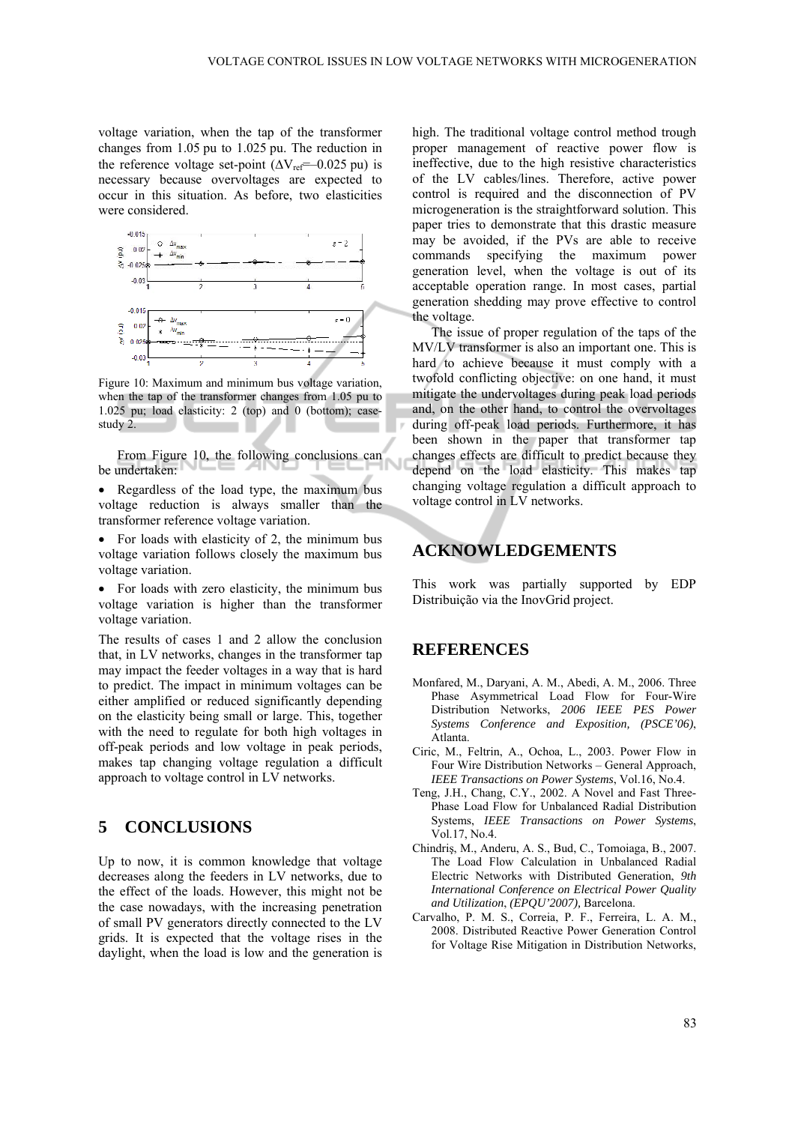voltage variation, when the tap of the transformer changes from 1.05 pu to 1.025 pu. The reduction in the reference voltage set-point  $(\Delta V_{ref} = -0.025 \text{ pu})$  is necessary because overvoltages are expected to occur in this situation. As before, two elasticities were considered.



Figure 10: Maximum and minimum bus voltage variation, when the tap of the transformer changes from 1.05 pu to 1.025 pu; load elasticity: 2 (top) and 0 (bottom); casestudy 2.

From Figure 10, the following conclusions can be undertaken:

- Regardless of the load type, the maximum bus voltage reduction is always smaller than the transformer reference voltage variation.
- For loads with elasticity of 2, the minimum bus voltage variation follows closely the maximum bus voltage variation.

• For loads with zero elasticity, the minimum bus voltage variation is higher than the transformer voltage variation.

The results of cases 1 and 2 allow the conclusion that, in LV networks, changes in the transformer tap may impact the feeder voltages in a way that is hard to predict. The impact in minimum voltages can be either amplified or reduced significantly depending on the elasticity being small or large. This, together with the need to regulate for both high voltages in off-peak periods and low voltage in peak periods, makes tap changing voltage regulation a difficult approach to voltage control in LV networks.

## **5 CONCLUSIONS**

Up to now, it is common knowledge that voltage decreases along the feeders in LV networks, due to the effect of the loads. However, this might not be the case nowadays, with the increasing penetration of small PV generators directly connected to the LV grids. It is expected that the voltage rises in the daylight, when the load is low and the generation is

high. The traditional voltage control method trough proper management of reactive power flow is ineffective, due to the high resistive characteristics of the LV cables/lines. Therefore, active power control is required and the disconnection of PV microgeneration is the straightforward solution. This paper tries to demonstrate that this drastic measure may be avoided, if the PVs are able to receive commands specifying the maximum power generation level, when the voltage is out of its acceptable operation range. In most cases, partial generation shedding may prove effective to control the voltage.

The issue of proper regulation of the taps of the MV/LV transformer is also an important one. This is hard to achieve because it must comply with a twofold conflicting objective: on one hand, it must mitigate the undervoltages during peak load periods and, on the other hand, to control the overvoltages during off-peak load periods. Furthermore, it has been shown in the paper that transformer tap changes effects are difficult to predict because they depend on the load elasticity. This makes tap changing voltage regulation a difficult approach to voltage control in LV networks.

### **ACKNOWLEDGEMENTS**

This work was partially supported by EDP Distribuição via the InovGrid project.

## **REFERENCES**

- Monfared, M., Daryani, A. M., Abedi, A. M., 2006. Three Phase Asymmetrical Load Flow for Four-Wire Distribution Networks, *2006 IEEE PES Power Systems Conference and Exposition, (PSCE'06)*, Atlanta.
- Ciric, M., Feltrin, A., Ochoa, L., 2003. Power Flow in Four Wire Distribution Networks – General Approach, *IEEE Transactions on Power Systems*, Vol.16, No.4.
- Teng, J.H., Chang, C.Y., 2002. A Novel and Fast Three-Phase Load Flow for Unbalanced Radial Distribution Systems, *IEEE Transactions on Power Systems*, Vol.17, No.4.
- Chindriş, M., Anderu, A. S., Bud, C., Tomoiaga, B., 2007. The Load Flow Calculation in Unbalanced Radial Electric Networks with Distributed Generation, *9th International Conference on Electrical Power Quality and Utilization*, *(EPQU'2007),* Barcelona.
- Carvalho, P. M. S., Correia, P. F., Ferreira, L. A. M., 2008. Distributed Reactive Power Generation Control for Voltage Rise Mitigation in Distribution Networks,